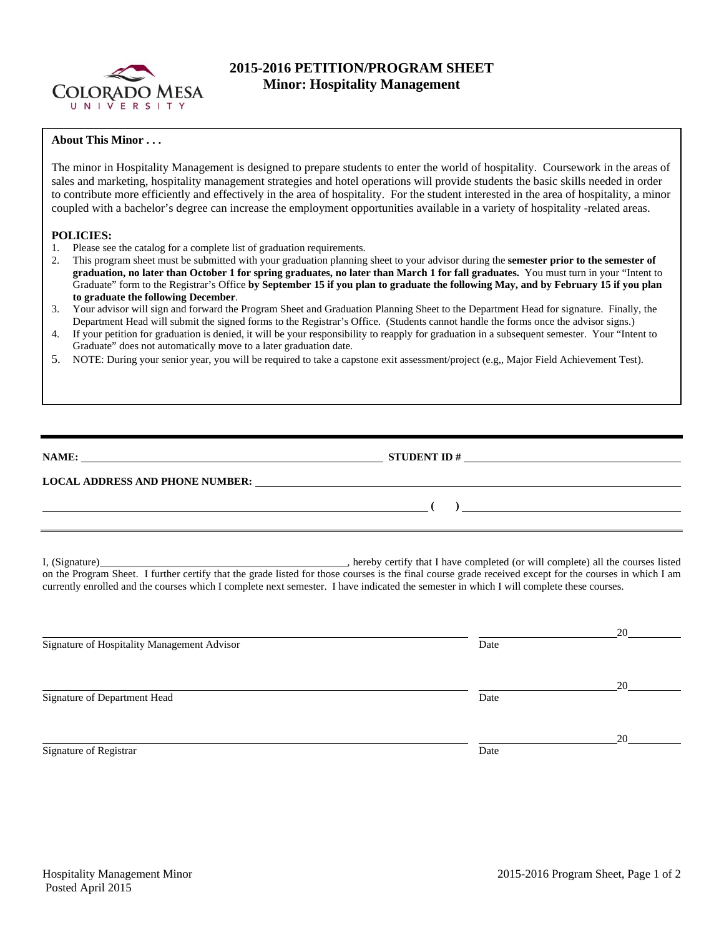

## **2015-2016 PETITION/PROGRAM SHEET Minor: Hospitality Management**

## **About This Minor . . .**

The minor in Hospitality Management is designed to prepare students to enter the world of hospitality. Coursework in the areas of sales and marketing, hospitality management strategies and hotel operations will provide students the basic skills needed in order to contribute more efficiently and effectively in the area of hospitality. For the student interested in the area of hospitality, a minor coupled with a bachelor's degree can increase the employment opportunities available in a variety of hospitality -related areas.

## **POLICIES:**

- 1. Please see the catalog for a complete list of graduation requirements.<br>2. This program sheet must be submitted with your graduation planning
- 2. This program sheet must be submitted with your graduation planning sheet to your advisor during the **semester prior to the semester of graduation, no later than October 1 for spring graduates, no later than March 1 for fall graduates.** You must turn in your "Intent to Graduate" form to the Registrar's Office **by September 15 if you plan to graduate the following May, and by February 15 if you plan to graduate the following December**.
- 3. Your advisor will sign and forward the Program Sheet and Graduation Planning Sheet to the Department Head for signature. Finally, the Department Head will submit the signed forms to the Registrar's Office. (Students cannot handle the forms once the advisor signs.)
- 4. If your petition for graduation is denied, it will be your responsibility to reapply for graduation in a subsequent semester. Your "Intent to Graduate" does not automatically move to a later graduation date.
- 5. NOTE: During your senior year, you will be required to take a capstone exit assessment/project (e.g,, Major Field Achievement Test).

| NAME:                                  | <b>STUDENT ID#</b> |
|----------------------------------------|--------------------|
| <b>LOCAL ADDRESS AND PHONE NUMBER:</b> |                    |
|                                        |                    |

I, (Signature) , hereby certify that I have completed (or will complete) all the courses listed on the Program Sheet. I further certify that the grade listed for those courses is the final course grade received except for the courses in which I am currently enrolled and the courses which I complete next semester. I have indicated the semester in which I will complete these courses.

|                                             |      | 20 |
|---------------------------------------------|------|----|
| Signature of Hospitality Management Advisor | Date |    |
|                                             |      |    |
|                                             |      | 20 |
| Signature of Department Head                | Date |    |
|                                             |      |    |
|                                             |      | 20 |
| Signature of Registrar                      | Date |    |